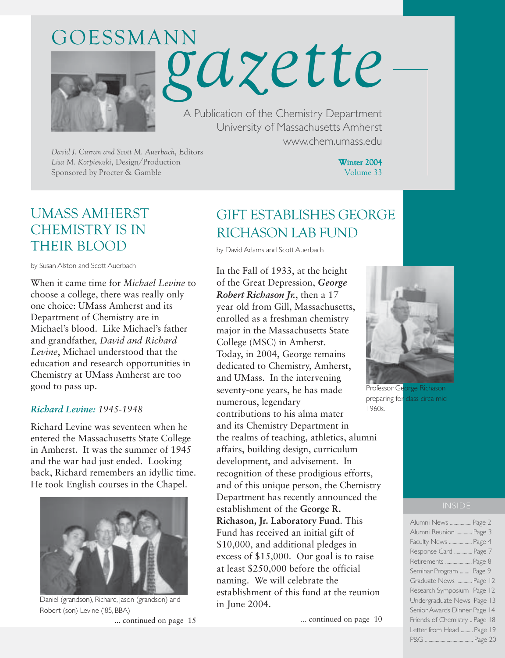# A Publication of the Chemistry Department GOESSMANN *gazette*

University of Massachusetts Amherst www.chem.umass.edu

*David J. Curran and Scott M. Auerbach*, Editors *Lisa M. Korpiewski*, Design/Production Sponsored by Procter & Gamble

Winter 2004 Volume 33

# UMASS AMHERST CHEMISTRY IS IN THEIR BLOOD

by Susan Alston and Scott Auerbach

When it came time for *Michael Levine* to choose a college, there was really only one choice: UMass Amherst and its Department of Chemistry are in Michael's blood. Like Michael's father and grandfather, *David and Richard Levine*, Michael understood that the education and research opportunities in Chemistry at UMass Amherst are too good to pass up.

#### *Richard Levine: 1945-1948*

Richard Levine was seventeen when he entered the Massachusetts State College in Amherst. It was the summer of 1945 and the war had just ended. Looking back, Richard remembers an idyllic time. He took English courses in the Chapel.



Daniel (grandson), Richard, Jason (grandson) and Robert (son) Levine ('85, BBA)

... continued on page 15

# GIFT ESTABLISHES GEORGE RICHASON LAB FUND

by David Adams and Scott Auerbach

In the Fall of 1933, at the height of the Great Depression, *George Robert Richason Jr.*, then a 17 year old from Gill, Massachusetts, enrolled as a freshman chemistry major in the Massachusetts State College (MSC) in Amherst. Today, in 2004, George remains dedicated to Chemistry, Amherst, and UMass. In the intervening seventy-one years, he has made numerous, legendary contributions to his alma mater and its Chemistry Department in the realms of teaching, athletics, alumni affairs, building design, curriculum development, and advisement. In recognition of these prodigious efforts, and of this unique person, the Chemistry Department has recently announced the establishment of the **George R. Richason, Jr. Laboratory Fund**. This Fund has received an initial gift of \$10,000, and additional pledges in excess of \$15,000. Our goal is to raise at least \$250,000 before the official naming. We will celebrate the establishment of this fund at the reunion in June 2004. 1960s.

... continued on page 10



Professor George Richason preparing for class circa mid

#### INSIDE

| Alumni News  Page 2           |
|-------------------------------|
| Alumni Reunion  Page 3        |
| Faculty News  Page 4          |
| Response Card  Page 7         |
| Retirements  Page 8           |
| Seminar Program  Page 9       |
| Graduate News  Page 12        |
| Research Symposium Page 12    |
| Undergraduate News Page 13    |
| Senior Awards Dinner Page 14  |
| Friends of Chemistry  Page 18 |
| Letter from Head  Page 19     |
|                               |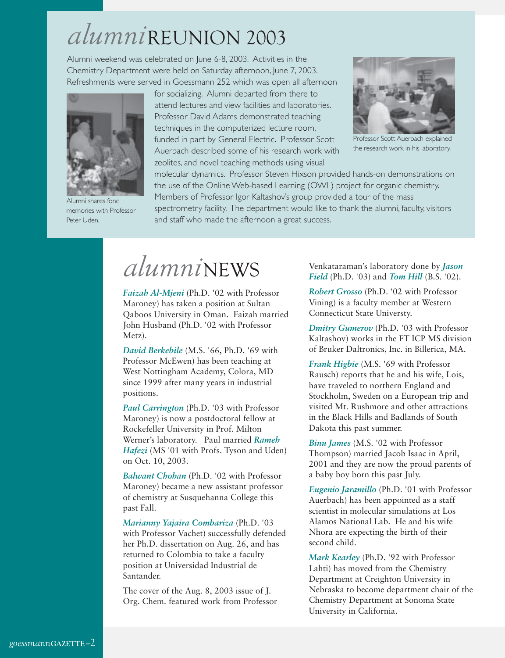# *alumni*REUNION 2003

Alumni weekend was celebrated on June 6-8, 2003. Activities in the Chemistry Department were held on Saturday afternoon, June 7, 2003. Refreshments were served in Goessmann 252 which was open all afternoon



Alumni shares fond memories with Professor Peter Uden.

for socializing. Alumni departed from there to attend lectures and view facilities and laboratories. Professor David Adams demonstrated teaching techniques in the computerized lecture room, funded in part by General Electric. Professor Scott Auerbach described some of his research work with zeolites, and novel teaching methods using visual



Professor Scott Auerbach explained the research work in his laboratory.

molecular dynamics. Professor Steven Hixson provided hands-on demonstrations on the use of the Online Web-based Learning (OWL) project for organic chemistry. Members of Professor Igor Kaltashov's group provided a tour of the mass spectrometry facility. The department would like to thank the alumni, faculty, visitors

and staff who made the afternoon a great success.

# *alumni*NEWS

*Faizah Al-Mjeni* (Ph.D. '02 with Professor Maroney) has taken a position at Sultan Qaboos University in Oman. Faizah married John Husband (Ph.D. '02 with Professor Metz).

*David Berkebile* (M.S. '66, Ph.D. '69 with Professor McEwen) has been teaching at West Nottingham Academy, Colora, MD since 1999 after many years in industrial positions.

*Paul Carrington* (Ph.D. '03 with Professor Maroney) is now a postdoctoral fellow at Rockefeller University in Prof. Milton Werner's laboratory. Paul married *Rameh Hafezi* (MS '01 with Profs. Tyson and Uden) on Oct. 10, 2003.

*Balwant Chohan* (Ph.D. '02 with Professor Maroney) became a new assistant professor of chemistry at Susquehanna College this past Fall.

*Marianny Yajaira Combariza* (Ph.D. '03 with Professor Vachet) successfully defended her Ph.D. dissertation on Aug. 26, and has returned to Colombia to take a faculty position at Universidad Industrial de Santander.

The cover of the Aug. 8, 2003 issue of J. Org. Chem. featured work from Professor Venkataraman's laboratory done by *Jason Field* (Ph.D. '03) and *Tom Hill* (B.S. '02).

*Robert Grosso* (Ph.D. '02 with Professor Vining) is a faculty member at Western Connecticut State Universty.

*Dmitry Gumerov* (Ph.D. '03 with Professor Kaltashov) works in the FT ICP MS division of Bruker Daltronics, Inc. in Billerica, MA.

*Frank Higbie* (M.S. '69 with Professor Rausch) reports that he and his wife, Lois, have traveled to northern England and Stockholm, Sweden on a European trip and visited Mt. Rushmore and other attractions in the Black Hills and Badlands of South Dakota this past summer.

*Binu James* (M.S. '02 with Professor Thompson) married Jacob Isaac in April, 2001 and they are now the proud parents of a baby boy born this past July.

*Eugenio Jaramillo* (Ph.D. '01 with Professor Auerbach) has been appointed as a staff scientist in molecular simulations at Los Alamos National Lab. He and his wife Nhora are expecting the birth of their second child.

*Mark Kearley* (Ph.D. '92 with Professor Lahti) has moved from the Chemistry Department at Creighton University in Nebraska to become department chair of the Chemistry Department at Sonoma State University in California.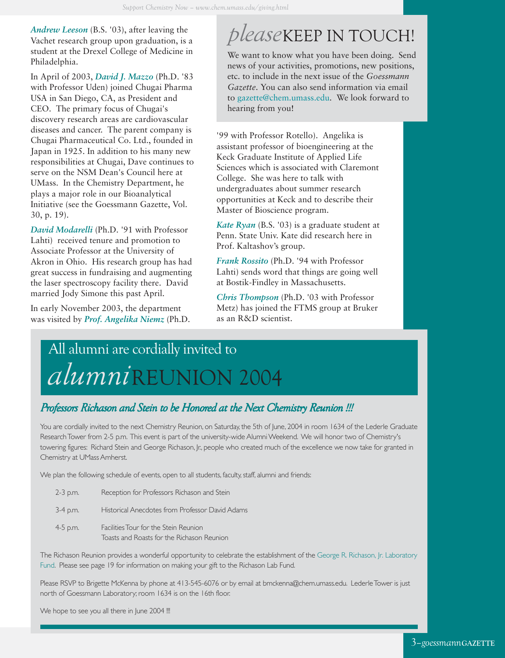*Andrew Leeson* (B.S. '03), after leaving the Vachet research group upon graduation, is a student at the Drexel College of Medicine in Philadelphia.

In April of 2003, *David J. Mazzo* (Ph.D. '83 with Professor Uden) joined Chugai Pharma USA in San Diego, CA, as President and CEO. The primary focus of Chugai's discovery research areas are cardiovascular diseases and cancer. The parent company is Chugai Pharmaceutical Co. Ltd., founded in Japan in 1925. In addition to his many new responsibilities at Chugai, Dave continues to serve on the NSM Dean's Council here at UMass. In the Chemistry Department, he plays a major role in our Bioanalytical Initiative (see the Goessmann Gazette, Vol. 30, p. 19).

*David Modarelli* (Ph.D. '91 with Professor Lahti) received tenure and promotion to Associate Professor at the University of Akron in Ohio. His research group has had great success in fundraising and augmenting the laser spectroscopy facility there. David married Jody Simone this past April.

In early November 2003, the department was visited by *Prof. Angelika Niemz* (Ph.D.

# *please*KEEP IN TOUCH!

We want to know what you have been doing. Send news of your activities, promotions, new positions, etc. to include in the next issue of the *Goessmann Gazette*. You can also send information via email to gazette@chem.umass.edu. We look forward to hearing from you!

'99 with Professor Rotello). Angelika is assistant professor of bioengineering at the Keck Graduate Institute of Applied Life Sciences which is associated with Claremont College. She was here to talk with undergraduates about summer research opportunities at Keck and to describe their Master of Bioscience program.

*Kate Ryan* (B.S. '03) is a graduate student at Penn. State Univ. Kate did research here in Prof. Kaltashov's group.

*Frank Rossito* (Ph.D. '94 with Professor Lahti) sends word that things are going well at Bostik-Findley in Massachusetts.

*Chris Thompson* (Ph.D. '03 with Professor Metz) has joined the FTMS group at Bruker as an R&D scientist.

# *alumni*REUNION 2004 All alumni are cordially invited to

## *Professors Richason and Stein to be Honored at the Next Chemistry Reunion !!! Professors Richason and Stein to be Honored at the Chemistry Richason and Stein to be Honored at the Next Reunion*

You are cordially invited to the next Chemistry Reunion, on Saturday, the 5th of June, 2004 in room 1634 of the Lederle Graduate Research Tower from 2-5 p.m. This event is part of the university-wide Alumni Weekend. We will honor two of Chemistry's towering figures: Richard Stein and George Richason, Jr., people who created much of the excellence we now take for granted in Chemistry at UMass Amherst.

We plan the following schedule of events, open to all students, faculty, staff, alumni and friends:

2-3 p.m. Reception for Professors Richason and Stein 3-4 p.m. Historical Anecdotes from Professor David Adams 4-5 p.m. Facilities Tour for the Stein Reunion

Toasts and Roasts for the Richason Reunion

The Richason Reunion provides a wonderful opportunity to celebrate the establishment of the George R. Richason, Jr. Laboratory Fund. Please see page 19 for information on making your gift to the Richason Lab Fund.

Please RSVP to Brigette McKenna by phone at 413-545-6076 or by email at bmckenna@chem.umass.edu. Lederle Tower is just north of Goessmann Laboratory; room 1634 is on the 16th floor.

We hope to see you all there in June 2004 !!!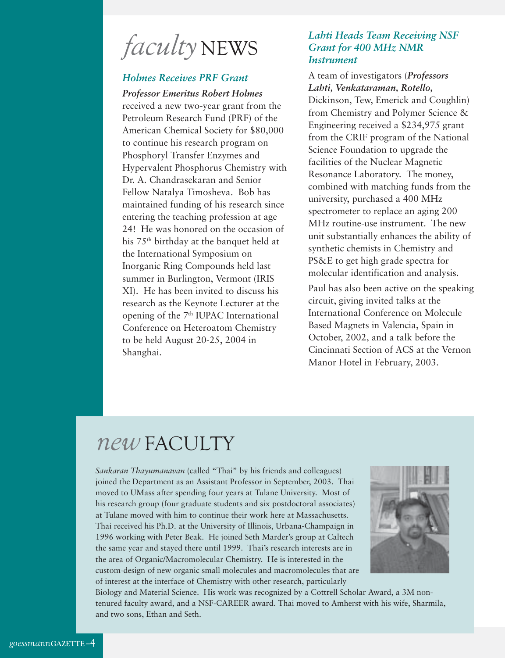*faculty* NEWS

## *Holmes Receives PRF Grant*

*Professor Emeritus Robert Holmes* received a new two-year grant from the Petroleum Research Fund (PRF) of the American Chemical Society for \$80,000 to continue his research program on Phosphoryl Transfer Enzymes and Hypervalent Phosphorus Chemistry with Dr. A. Chandrasekaran and Senior Fellow Natalya Timosheva. Bob has maintained funding of his research since entering the teaching profession at age 24! He was honored on the occasion of his 75th birthday at the banquet held at the International Symposium on Inorganic Ring Compounds held last summer in Burlington, Vermont (IRIS XI). He has been invited to discuss his research as the Keynote Lecturer at the opening of the 7<sup>th</sup> IUPAC International Conference on Heteroatom Chemistry to be held August 20-25, 2004 in Shanghai.

### *Lahti Heads Team Receiving NSF Grant for 400 MHz NMR Instrument*

### A team of investigators (*Professors Lahti, Venkataraman, Rotello,*

Dickinson, Tew, Emerick and Coughlin) from Chemistry and Polymer Science & Engineering received a \$234,975 grant from the CRIF program of the National Science Foundation to upgrade the facilities of the Nuclear Magnetic Resonance Laboratory. The money, combined with matching funds from the university, purchased a 400 MHz spectrometer to replace an aging 200 MHz routine-use instrument. The new unit substantially enhances the ability of synthetic chemists in Chemistry and PS&E to get high grade spectra for molecular identification and analysis.

Paul has also been active on the speaking circuit, giving invited talks at the International Conference on Molecule Based Magnets in Valencia, Spain in October, 2002, and a talk before the Cincinnati Section of ACS at the Vernon Manor Hotel in February, 2003.

# *new* FACULTY

*Sankaran Thayumanavan* (called "Thai" by his friends and colleagues) joined the Department as an Assistant Professor in September, 2003. Thai moved to UMass after spending four years at Tulane University. Most of his research group (four graduate students and six postdoctoral associates) at Tulane moved with him to continue their work here at Massachusetts. Thai received his Ph.D. at the University of Illinois, Urbana-Champaign in 1996 working with Peter Beak. He joined Seth Marder's group at Caltech the same year and stayed there until 1999. Thai's research interests are in the area of Organic/Macromolecular Chemistry. He is interested in the custom-design of new organic small molecules and macromolecules that are of interest at the interface of Chemistry with other research, particularly



Biology and Material Science. His work was recognized by a Cottrell Scholar Award, a 3M nontenured faculty award, and a NSF-CAREER award. Thai moved to Amherst with his wife, Sharmila, and two sons, Ethan and Seth.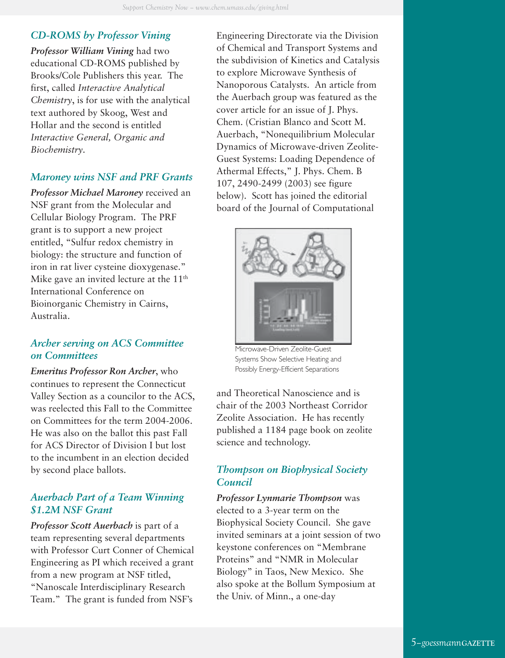## *CD-ROMS by Professor Vining*

*Professor William Vining* had two educational CD-ROMS published by Brooks/Cole Publishers this year. The first, called *Interactive Analytical Chemistry*, is for use with the analytical text authored by Skoog, West and Hollar and the second is entitled *Interactive General, Organic and Biochemistry*.

## *Maroney wins NSF and PRF Grants*

*Professor Michael Maroney* received an NSF grant from the Molecular and Cellular Biology Program. The PRF grant is to support a new project entitled, "Sulfur redox chemistry in biology: the structure and function of iron in rat liver cysteine dioxygenase." Mike gave an invited lecture at the 11<sup>th</sup> International Conference on Bioinorganic Chemistry in Cairns, Australia.

### *Archer serving on ACS Committee on Committees*

*Emeritus Professor Ron Archer*, who continues to represent the Connecticut Valley Section as a councilor to the ACS, was reelected this Fall to the Committee on Committees for the term 2004-2006. He was also on the ballot this past Fall for ACS Director of Division I but lost to the incumbent in an election decided by second place ballots.

## *Auerbach Part of a Team Winning \$1.2M NSF Grant*

*Professor Scott Auerbach* is part of a team representing several departments with Professor Curt Conner of Chemical Engineering as PI which received a grant from a new program at NSF titled, "Nanoscale Interdisciplinary Research Team." The grant is funded from NSF's

Engineering Directorate via the Division of Chemical and Transport Systems and the subdivision of Kinetics and Catalysis to explore Microwave Synthesis of Nanoporous Catalysts. An article from the Auerbach group was featured as the cover article for an issue of J. Phys. Chem. (Cristian Blanco and Scott M. Auerbach, "Nonequilibrium Molecular Dynamics of Microwave-driven Zeolite-Guest Systems: Loading Dependence of Athermal Effects," J. Phys. Chem. B 107, 2490-2499 (2003) see figure below). Scott has joined the editorial board of the Journal of Computational



Microwave-Driven Zeolite-Guest Systems Show Selective Heating and Possibly Energy-Efficient Separations

and Theoretical Nanoscience and is chair of the 2003 Northeast Corridor Zeolite Association. He has recently published a 1184 page book on zeolite science and technology.

## *Thompson on Biophysical Society Council*

*Professor Lynmarie Thompson* was elected to a 3-year term on the Biophysical Society Council. She gave invited seminars at a joint session of two keystone conferences on "Membrane Proteins" and "NMR in Molecular Biology" in Taos, New Mexico. She also spoke at the Bollum Symposium at the Univ. of Minn., a one-day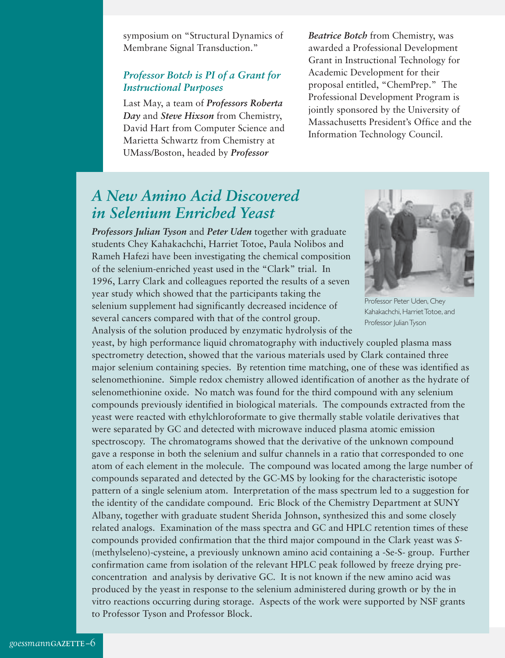symposium on "Structural Dynamics of Membrane Signal Transduction."

## *Professor Botch is PI of a Grant for Instructional Purposes*

Last May, a team of *Professors Roberta Day* and *Steve Hixson* from Chemistry, David Hart from Computer Science and Marietta Schwartz from Chemistry at UMass/Boston, headed by *Professor*

*Beatrice Botch* from Chemistry, was awarded a Professional Development Grant in Instructional Technology for Academic Development for their proposal entitled, "ChemPrep." The Professional Development Program is jointly sponsored by the University of Massachusetts President's Office and the Information Technology Council.

# *A New Amino Acid Discovered in Selenium Enriched Yeast*

*Professors Julian Tyson* and *Peter Uden* together with graduate students Chey Kahakachchi, Harriet Totoe, Paula Nolibos and Rameh Hafezi have been investigating the chemical composition of the selenium-enriched yeast used in the "Clark" trial. In 1996, Larry Clark and colleagues reported the results of a seven year study which showed that the participants taking the selenium supplement had significantly decreased incidence of several cancers compared with that of the control group. Analysis of the solution produced by enzymatic hydrolysis of the



Professor Peter Uden, Chey Kahakachchi, Harriet Totoe, and Professor Julian Tyson

yeast, by high performance liquid chromatography with inductively coupled plasma mass spectrometry detection, showed that the various materials used by Clark contained three major selenium containing species. By retention time matching, one of these was identified as selenomethionine. Simple redox chemistry allowed identification of another as the hydrate of selenomethionine oxide. No match was found for the third compound with any selenium compounds previously identified in biological materials. The compounds extracted from the yeast were reacted with ethylchloroformate to give thermally stable volatile derivatives that were separated by GC and detected with microwave induced plasma atomic emission spectroscopy. The chromatograms showed that the derivative of the unknown compound gave a response in both the selenium and sulfur channels in a ratio that corresponded to one atom of each element in the molecule. The compound was located among the large number of compounds separated and detected by the GC-MS by looking for the characteristic isotope pattern of a single selenium atom. Interpretation of the mass spectrum led to a suggestion for the identity of the candidate compound. Eric Block of the Chemistry Department at SUNY Albany, together with graduate student Sherida Johnson, synthesized this and some closely related analogs. Examination of the mass spectra and GC and HPLC retention times of these compounds provided confirmation that the third major compound in the Clark yeast was *S*- (methylseleno)-cysteine, a previously unknown amino acid containing a -Se-S- group. Further confirmation came from isolation of the relevant HPLC peak followed by freeze drying preconcentration and analysis by derivative GC. It is not known if the new amino acid was produced by the yeast in response to the selenium administered during growth or by the in vitro reactions occurring during storage. Aspects of the work were supported by NSF grants to Professor Tyson and Professor Block.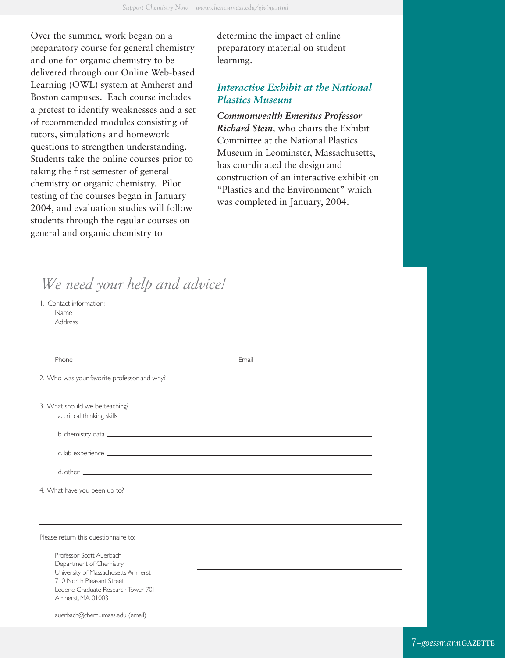Over the summer, work began on a preparatory course for general chemistry and one for organic chemistry to be delivered through our Online Web-based Learning (OWL) system at Amherst and Boston campuses. Each course includes a pretest to identify weaknesses and a set of recommended modules consisting of tutors, simulations and homework questions to strengthen understanding. Students take the online courses prior to taking the first semester of general chemistry or organic chemistry. Pilot testing of the courses began in January 2004, and evaluation studies will follow students through the regular courses on general and organic chemistry to

determine the impact of online preparatory material on student learning.

## *Interactive Exhibit at the National Plastics Museum*

*Commonwealth Emeritus Professor Richard Stein,* who chairs the Exhibit Committee at the National Plastics Museum in Leominster, Massachusetts, has coordinated the design and construction of an interactive exhibit on "Plastics and the Environment" which was completed in January, 2004.

| We need your help and advice!                                                                                                                                                                                                  |                                                                                                                                                                                                                                      |  |
|--------------------------------------------------------------------------------------------------------------------------------------------------------------------------------------------------------------------------------|--------------------------------------------------------------------------------------------------------------------------------------------------------------------------------------------------------------------------------------|--|
| I. Contact information:                                                                                                                                                                                                        |                                                                                                                                                                                                                                      |  |
| Name experience and the contract of the contract of the contract of the contract of the contract of the contract of the contract of the contract of the contract of the contract of the contract of the contract of the contra |                                                                                                                                                                                                                                      |  |
|                                                                                                                                                                                                                                |                                                                                                                                                                                                                                      |  |
|                                                                                                                                                                                                                                |                                                                                                                                                                                                                                      |  |
| Phone <b>Phone Phone Phone Phone Phone</b>                                                                                                                                                                                     |                                                                                                                                                                                                                                      |  |
|                                                                                                                                                                                                                                |                                                                                                                                                                                                                                      |  |
| 2. Who was your favorite professor and why?                                                                                                                                                                                    | <u>state and the state of the state of the state of the state of the state of the state of the state of the state of the state of the state of the state of the state of the state of the state of the state of the state of the</u> |  |
|                                                                                                                                                                                                                                |                                                                                                                                                                                                                                      |  |
| 3. What should we be teaching?                                                                                                                                                                                                 |                                                                                                                                                                                                                                      |  |
|                                                                                                                                                                                                                                |                                                                                                                                                                                                                                      |  |
|                                                                                                                                                                                                                                |                                                                                                                                                                                                                                      |  |
|                                                                                                                                                                                                                                |                                                                                                                                                                                                                                      |  |
|                                                                                                                                                                                                                                |                                                                                                                                                                                                                                      |  |
|                                                                                                                                                                                                                                |                                                                                                                                                                                                                                      |  |
|                                                                                                                                                                                                                                |                                                                                                                                                                                                                                      |  |
|                                                                                                                                                                                                                                |                                                                                                                                                                                                                                      |  |
|                                                                                                                                                                                                                                |                                                                                                                                                                                                                                      |  |
| Please return this questionnaire to:                                                                                                                                                                                           |                                                                                                                                                                                                                                      |  |
|                                                                                                                                                                                                                                |                                                                                                                                                                                                                                      |  |
| Professor Scott Auerbach                                                                                                                                                                                                       |                                                                                                                                                                                                                                      |  |
| Department of Chemistry<br>University of Massachusetts Amherst                                                                                                                                                                 |                                                                                                                                                                                                                                      |  |
| 710 North Pleasant Street                                                                                                                                                                                                      |                                                                                                                                                                                                                                      |  |
| Lederle Graduate Research Tower 701                                                                                                                                                                                            |                                                                                                                                                                                                                                      |  |
| Amherst, MA 01003                                                                                                                                                                                                              |                                                                                                                                                                                                                                      |  |
|                                                                                                                                                                                                                                |                                                                                                                                                                                                                                      |  |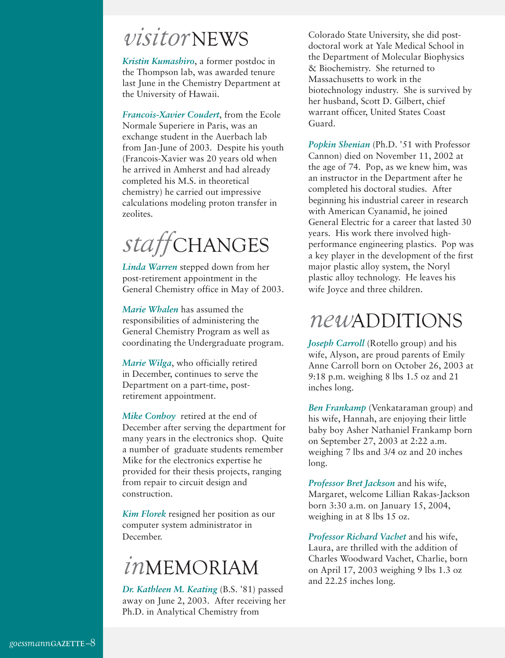# *visitor* NEWS

*Kristin Kumashiro*, a former postdoc in the Thompson lab, was awarded tenure last June in the Chemistry Department at the University of Hawaii.

*Francois-Xavier Coudert*, from the Ecole Normale Superiere in Paris, was an exchange student in the Auerbach lab from Jan-June of 2003. Despite his youth (Francois-Xavier was 20 years old when he arrived in Amherst and had already completed his M.S. in theoretical chemistry) he carried out impressive calculations modeling proton transfer in zeolites.



*Linda Warren* stepped down from her post-retirement appointment in the General Chemistry office in May of 2003.

*Marie Whalen* has assumed the responsibilities of administering the General Chemistry Program as well as coordinating the Undergraduate program.

*Marie Wilga*, who officially retired in December, continues to serve the Department on a part-time, postretirement appointment.

*Mike Conboy* retired at the end of December after serving the department for many years in the electronics shop. Quite a number of graduate students remember Mike for the electronics expertise he provided for their thesis projects, ranging from repair to circuit design and construction.

*Kim Florek* resigned her position as our computer system administrator in December.

# *in*MEMORIAM

*Dr. Kathleen M. Keating* (B.S. '81) passed away on June 2, 2003. After receiving her Ph.D. in Analytical Chemistry from

Colorado State University, she did postdoctoral work at Yale Medical School in the Department of Molecular Biophysics & Biochemistry. She returned to Massachusetts to work in the biotechnology industry. She is survived by her husband, Scott D. Gilbert, chief warrant officer, United States Coast Guard.

*Popkin Shenian* (Ph.D. '51 with Professor Cannon) died on November 11, 2002 at the age of 74. Pop, as we knew him, was an instructor in the Department after he completed his doctoral studies. After beginning his industrial career in research with American Cyanamid, he joined General Electric for a career that lasted 30 years. His work there involved highperformance engineering plastics. Pop was a key player in the development of the first major plastic alloy system, the Noryl plastic alloy technology. He leaves his wife Joyce and three children.

# *new*ADDITIONS

*Joseph Carroll* (Rotello group) and his wife, Alyson, are proud parents of Emily Anne Carroll born on October 26, 2003 at 9:18 p.m. weighing 8 lbs 1.5 oz and 21 inches long.

*Ben Frankamp* (Venkataraman group) and his wife, Hannah, are enjoying their little baby boy Asher Nathaniel Frankamp born on September 27, 2003 at 2:22 a.m. weighing 7 lbs and 3/4 oz and 20 inches long.

*Professor Bret Jackson* and his wife, Margaret, welcome Lillian Rakas-Jackson born 3:30 a.m. on January 15, 2004, weighing in at 8 lbs 15 oz.

*Professor Richard Vachet* and his wife, Laura, are thrilled with the addition of Charles Woodward Vachet, Charlie, born on April 17, 2003 weighing 9 lbs 1.3 oz and 22.25 inches long.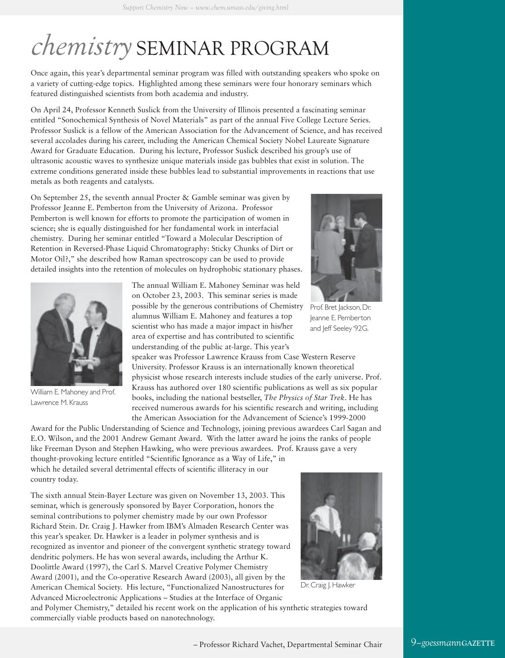# *chemistry* SEMINAR PROGRAM

Once again, this year's departmental seminar program was filled with outstanding speakers who spoke on a variety of cutting-edge topics. Highlighted among these seminars were four honorary seminars which featured distinguished scientists from both academia and industry.

On April 24, Professor Kenneth Suslick from the University of Illinois presented a fascinating seminar entitled "Sonochemical Synthesis of Novel Materials" as part of the annual Five College Lecture Series. Professor Suslick is a fellow of the American Association for the Advancement of Science, and has received several accolades during his career, including the American Chemical Society Nobel Laureate Signature Award for Graduate Education. During his lecture, Professor Suslick described his group's use of ultrasonic acoustic waves to synthesize unique materials inside gas bubbles that exist in solution. The extreme conditions generated inside these bubbles lead to substantial improvements in reactions that use metals as both reagents and catalysts.

On September 25, the seventh annual Procter & Gamble seminar was given by Professor Jeanne E. Pemberton from the University of Arizona. Professor Pemberton is well known for efforts to promote the participation of women in science; she is equally distinguished for her fundamental work in interfacial chemistry. During her seminar entitled "Toward a Molecular Description of Retention in Reversed-Phase Liquid Chromatography: Sticky Chunks of Dirt or Motor Oil?," she described how Raman spectroscopy can be used to provide detailed insights into the retention of molecules on hydrophobic stationary phases.



William E. Mahoney and Prof. Lawrence M. Krauss

The annual William E. Mahoney Seminar was held on October 23, 2003. This seminar series is made possible by the generous contributions of Chemistry alumnus William E. Mahoney and features a top scientist who has made a major impact in his/her area of expertise and has contributed to scientific understanding of the public at-large. This year's

speaker was Professor Lawrence Krauss from Case Western Reserve University. Professor Krauss is an internationally known theoretical physicist whose research interests include studies of the early universe. Prof. Krauss has authored over 180 scientific publications as well as six popular books, including the national bestseller, *The Physics of Star Trek*. He has received numerous awards for his scientific research and writing, including the American Association for the Advancement of Science's 1999-2000

Award for the Public Understanding of Science and Technology, joining previous awardees Carl Sagan and E.O. Wilson, and the 2001 Andrew Gemant Award. With the latter award he joins the ranks of people like Freeman Dyson and Stephen Hawking, who were previous awardees. Prof. Krauss gave a very thought-provoking lecture entitled "Scientific Ignorance as a Way of Life," in which he detailed several detrimental effects of scientific illiteracy in our country today.

The sixth annual Stein-Bayer Lecture was given on November 13, 2003. This seminar, which is generously sponsored by Bayer Corporation, honors the seminal contributions to polymer chemistry made by our own Professor Richard Stein. Dr. Craig J. Hawker from IBM's Almaden Research Center was this year's speaker. Dr. Hawker is a leader in polymer synthesis and is recognized as inventor and pioneer of the convergent synthetic strategy toward dendritic polymers. He has won several awards, including the Arthur K. Doolittle Award (1997), the Carl S. Marvel Creative Polymer Chemistry Award (2001), and the Co-operative Research Award (2003), all given by the American Chemical Society. His lecture, "Functionalized Nanostructures for Advanced Microelectronic Applications – Studies at the Interface of Organic



Dr. Craig |. Hawker

and Polymer Chemistry," detailed his recent work on the application of his synthetic strategies toward commercially viable products based on nanotechnology.



Prof. Bret Jackson, Dr. Jeanne E. Pemberton and Jeff Seeley '92G.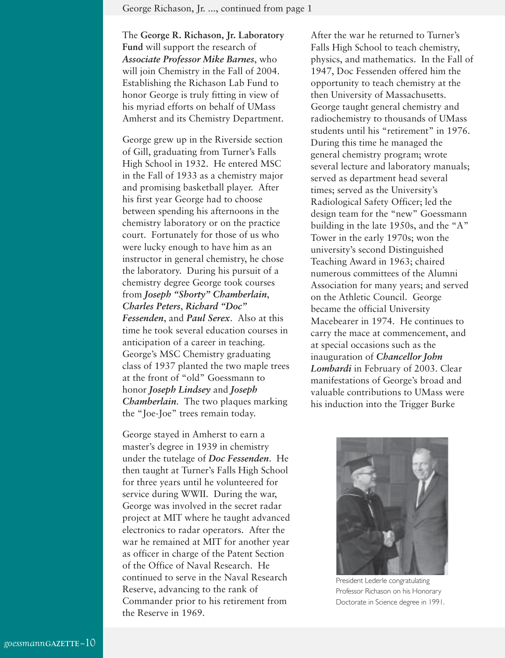The **George R. Richason, Jr. Laboratory Fund** will support the research of *Associate Professor Mike Barnes*, who will join Chemistry in the Fall of 2004. Establishing the Richason Lab Fund to honor George is truly fitting in view of his myriad efforts on behalf of UMass Amherst and its Chemistry Department.

George grew up in the Riverside section of Gill, graduating from Turner's Falls High School in 1932. He entered MSC in the Fall of 1933 as a chemistry major and promising basketball player. After his first year George had to choose between spending his afternoons in the chemistry laboratory or on the practice court. Fortunately for those of us who were lucky enough to have him as an instructor in general chemistry, he chose the laboratory. During his pursuit of a chemistry degree George took courses from *Joseph "Shorty" Chamberlain*, *Charles Peters*, *Richard "Doc" Fessenden*, and *Paul Serex*. Also at this time he took several education courses in anticipation of a career in teaching. George's MSC Chemistry graduating class of 1937 planted the two maple trees at the front of "old" Goessmann to honor *Joseph Lindsey* and *Joseph Chamberlain*. The two plaques marking

George stayed in Amherst to earn a master's degree in 1939 in chemistry under the tutelage of *Doc Fessenden*. He then taught at Turner's Falls High School for three years until he volunteered for service during WWII. During the war, George was involved in the secret radar project at MIT where he taught advanced electronics to radar operators. After the war he remained at MIT for another year as officer in charge of the Patent Section of the Office of Naval Research. He continued to serve in the Naval Research Reserve, advancing to the rank of Commander prior to his retirement from the Reserve in 1969.

the "Joe-Joe" trees remain today.

After the war he returned to Turner's Falls High School to teach chemistry, physics, and mathematics. In the Fall of 1947, Doc Fessenden offered him the opportunity to teach chemistry at the then University of Massachusetts. George taught general chemistry and radiochemistry to thousands of UMass students until his "retirement" in 1976. During this time he managed the general chemistry program; wrote several lecture and laboratory manuals; served as department head several times; served as the University's Radiological Safety Officer; led the design team for the "new" Goessmann building in the late 1950s, and the "A" Tower in the early 1970s; won the university's second Distinguished Teaching Award in 1963; chaired numerous committees of the Alumni Association for many years; and served on the Athletic Council. George became the official University Macebearer in 1974. He continues to carry the mace at commencement, and at special occasions such as the inauguration of *Chancellor John Lombardi* in February of 2003. Clear manifestations of George's broad and valuable contributions to UMass were his induction into the Trigger Burke



President Lederle congratulating Professor Richason on his Honorary Doctorate in Science degree in 1991.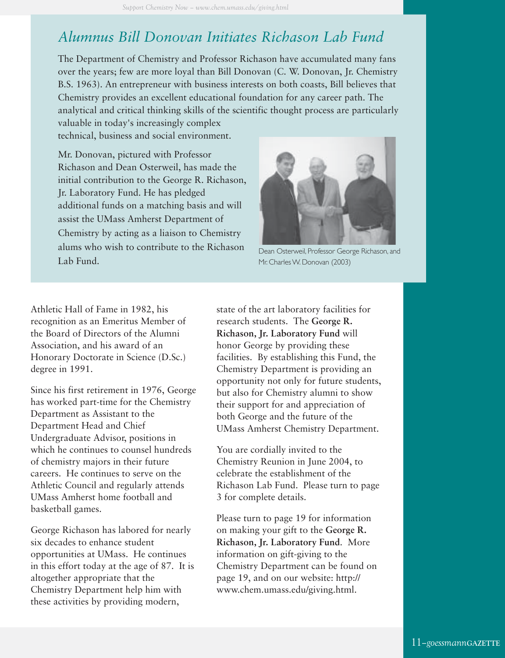# *Alumnus Bill Donovan Initiates Richason Lab Fund*

The Department of Chemistry and Professor Richason have accumulated many fans over the years; few are more loyal than Bill Donovan (C. W. Donovan, Jr. Chemistry B.S. 1963). An entrepreneur with business interests on both coasts, Bill believes that Chemistry provides an excellent educational foundation for any career path. The analytical and critical thinking skills of the scientific thought process are particularly

valuable in today's increasingly complex technical, business and social environment.

Mr. Donovan, pictured with Professor Richason and Dean Osterweil, has made the initial contribution to the George R. Richason, Jr. Laboratory Fund. He has pledged additional funds on a matching basis and will assist the UMass Amherst Department of Chemistry by acting as a liaison to Chemistry alums who wish to contribute to the Richason Lab Fund.



Dean Osterweil, Professor George Richason, and Mr. Charles W. Donovan (2003)

Athletic Hall of Fame in 1982, his recognition as an Emeritus Member of the Board of Directors of the Alumni Association, and his award of an Honorary Doctorate in Science (D.Sc.) degree in 1991.

Since his first retirement in 1976, George has worked part-time for the Chemistry Department as Assistant to the Department Head and Chief Undergraduate Advisor, positions in which he continues to counsel hundreds of chemistry majors in their future careers. He continues to serve on the Athletic Council and regularly attends UMass Amherst home football and basketball games.

George Richason has labored for nearly six decades to enhance student opportunities at UMass. He continues in this effort today at the age of 87. It is altogether appropriate that the Chemistry Department help him with these activities by providing modern,

state of the art laboratory facilities for research students. The **George R. Richason, Jr. Laboratory Fund** will honor George by providing these facilities. By establishing this Fund, the Chemistry Department is providing an opportunity not only for future students, but also for Chemistry alumni to show their support for and appreciation of both George and the future of the UMass Amherst Chemistry Department.

You are cordially invited to the Chemistry Reunion in June 2004, to celebrate the establishment of the Richason Lab Fund. Please turn to page 3 for complete details.

Please turn to page 19 for information on making your gift to the **George R. Richason, Jr. Laboratory Fund**. More information on gift-giving to the Chemistry Department can be found on page 19, and on our website: http:// www.chem.umass.edu/giving.html.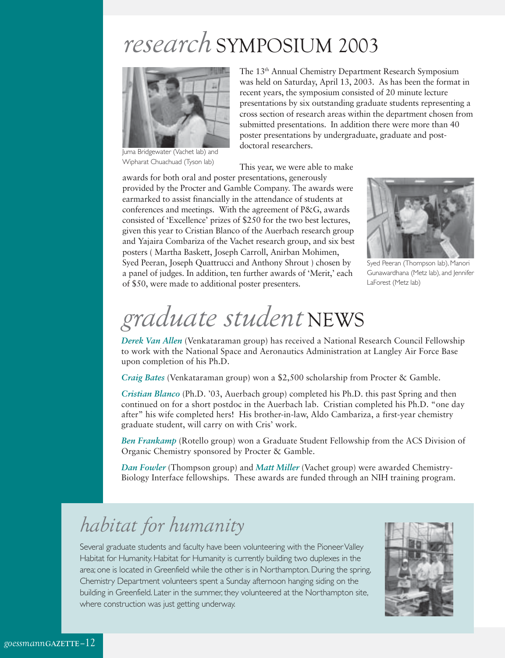# *research* SYMPOSIUM 2003



Juma Bridgewater (Vachet lab) and Wipharat Chuachuad (Tyson lab)

The 13th Annual Chemistry Department Research Symposium was held on Saturday, April 13, 2003. As has been the format in recent years, the symposium consisted of 20 minute lecture presentations by six outstanding graduate students representing a cross section of research areas within the department chosen from submitted presentations. In addition there were more than 40 poster presentations by undergraduate, graduate and postdoctoral researchers.

This year, we were able to make

awards for both oral and poster presentations, generously provided by the Procter and Gamble Company. The awards were earmarked to assist financially in the attendance of students at conferences and meetings. With the agreement of P&G, awards consisted of 'Excellence' prizes of \$250 for the two best lectures, given this year to Cristian Blanco of the Auerbach research group and Yajaira Combariza of the Vachet research group, and six best posters ( Martha Baskett, Joseph Carroll, Anirban Mohimen, Syed Peeran, Joseph Quattrucci and Anthony Shrout ) chosen by a panel of judges. In addition, ten further awards of 'Merit,' each of \$50, were made to additional poster presenters.



Syed Peeran (Thompson lab), Manori Gunawardhana (Metz lab), and Jennifer LaForest (Metz lab)

# *graduate student* NEWS

*Derek Van Allen* (Venkataraman group) has received a National Research Council Fellowship to work with the National Space and Aeronautics Administration at Langley Air Force Base upon completion of his Ph.D.

*Craig Bates* (Venkataraman group) won a \$2,500 scholarship from Procter & Gamble.

*Cristian Blanco* (Ph.D. '03, Auerbach group) completed his Ph.D. this past Spring and then continued on for a short postdoc in the Auerbach lab. Cristian completed his Ph.D. "one day after" his wife completed hers! His brother-in-law, Aldo Cambariza, a first-year chemistry graduate student, will carry on with Cris' work.

*Ben Frankamp* (Rotello group) won a Graduate Student Fellowship from the ACS Division of Organic Chemistry sponsored by Procter & Gamble.

*Dan Fowler* (Thompson group) and *Matt Miller* (Vachet group) were awarded Chemistry-Biology Interface fellowships. These awards are funded through an NIH training program.

# *habitat for humanity*

Several graduate students and faculty have been volunteering with the Pioneer Valley Habitat for Humanity. Habitat for Humanity is currently building two duplexes in the area; one is located in Greenfield while the other is in Northampton. During the spring, Chemistry Department volunteers spent a Sunday afternoon hanging siding on the building in Greenfield. Later in the summer, they volunteered at the Northampton site, where construction was just getting underway.

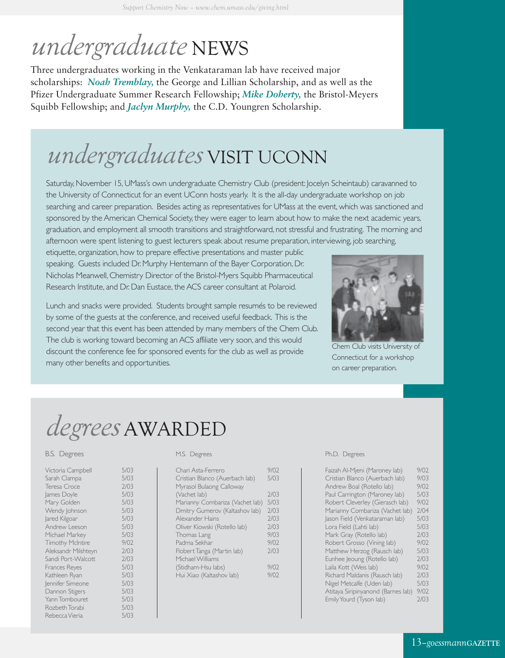# *undergraduate* NEWS

Three undergraduates working in the Venkataraman lab have received major scholarships: *Noah Tremblay,* the George and Lillian Scholarship, and as well as the Pfizer Undergraduate Summer Research Fellowship; *Mike Doherty,* the Bristol-Meyers Squibb Fellowship; and *Jaclyn Murphy,* the C.D. Youngren Scholarship.

# *undergraduates* VISIT UCONN

Saturday, November 15, UMass's own undergraduate Chemistry Club (president: Jocelyn Scheintaub) caravanned to the University of Connecticut for an event UConn hosts yearly. It is the all-day undergraduate workshop on job searching and career preparation. Besides acting as representatives for UMass at the event, which was sanctioned and sponsored by the American Chemical Society, they were eager to learn about how to make the next academic years, graduation, and employment all smooth transitions and straightforward, not stressful and frustrating. The morning and afternoon were spent listening to guest lecturers speak about resume preparation, interviewing, job searching,

etiquette, organization, how to prepare effective presentations and master public speaking. Guests included Dr. Murphy Hentemann of the Bayer Corporation, Dr. Nicholas Meanwell, Chemistry Director of the Bristol-Myers Squibb Pharmaceutical Research Institute, and Dr. Dan Eustace, the ACS career consultant at Polaroid.



Chem Club visits University of Connecticut for a workshop on career preparation.

Lunch and snacks were provided. Students brought sample resumés to be reviewed by some of the guests at the conference, and received useful feedback. This is the second year that this event has been attended by many members of the Chem Club. The club is working toward becoming an ACS affiliate very soon, and this would discount the conference fee for sponsored events for the club as well as provide many other benefits and opportunities.

# *degrees* AWARDED

#### B.S. Degrees

| Victoria Campbell       | 5/03 |
|-------------------------|------|
| Sarah Clampa            | 5/03 |
| Teresa Croce            | 7/03 |
| James Doyle             | 5/03 |
| Mary Golden             | 5/03 |
| Wendy Johnson           | 5/03 |
| Jared Kilgoar           | 5/03 |
| Andrew Leeson           | 5/03 |
| Michael Markey          | 5/03 |
| <b>Timothy McIntire</b> | 9/02 |
| Aleksandr Milshteyn     | 7/03 |
| Sandi Port-Walcott      | 2/03 |
| Frances Reyes           | 5/03 |
| Kathleen Ryan           | 5/03 |
| Jennifer Simeone        | 5/03 |
| Dannon Stigers          | 5/03 |
| Yann Tombouret          | 5/03 |
| Rozbeth Torabi          | 5/03 |
| Rebecca Vieria          | 5/03 |

#### M.S. Degrees

| Chari Asta-Ferrero              | 9/02 |
|---------------------------------|------|
| Cristian Blanco (Auerbach lab)  | 5/03 |
| Myrasol Bulaong Calloway        |      |
| (Vachet lab)                    | 7/03 |
| Marianny Combariza (Vachet lab) | 5/03 |
| Dmitry Gumerov (Kaltashov lab)  | 7/03 |
| Alexander Hains                 | 7/03 |
| Oliver Kiowski (Rotello lab)    | 7/03 |
| Thomas Lang                     | 9/03 |
| Padma Sekhar                    | 9/02 |
| Flobert Tanga (Martin lab)      | 7/03 |
| Michael Williams                |      |
| (Stidham-Hsu labs)              | 9/02 |
| Hui Xiao (Kaltashov lab)        | 9/02 |

#### Ph.D. Degrees

| Faizah Al-Mjeni (Maroney lab)      | 9/02 |
|------------------------------------|------|
| Cristian Blanco (Auerbach lab)     | 9/03 |
| Andrew Boal (Rotello lab)          | 9/02 |
| Paul Carrington (Maroney lab)      | 5/03 |
| Robert Cleverley (Gierasch lab)    | 9/02 |
| Marianny Combariza (Vachet lab)    | 7/04 |
| Jason Field (Venkataraman lab)     | 5/03 |
| Lora Field (Lahti lab)             | 5/03 |
| Mark Gray (Rotello lab)            | 2/03 |
| Robert Grosso (Vining lab)         | 9/02 |
| Matthew Herzog (Rausch lab)        | 5/03 |
| Eunhee Jeoung (Rotello lab)        | 2/03 |
| Laila Kott (Weis lab)              | 9/02 |
| Richard Maldanis (Rausch lab)      | 7/03 |
| Nigel Metcalfe (Uden lab)          | 5/03 |
| Atitaya Siripinyanond (Barnes lab) | 9/02 |
| Emily Yourd (Tyson lab)            | 2/03 |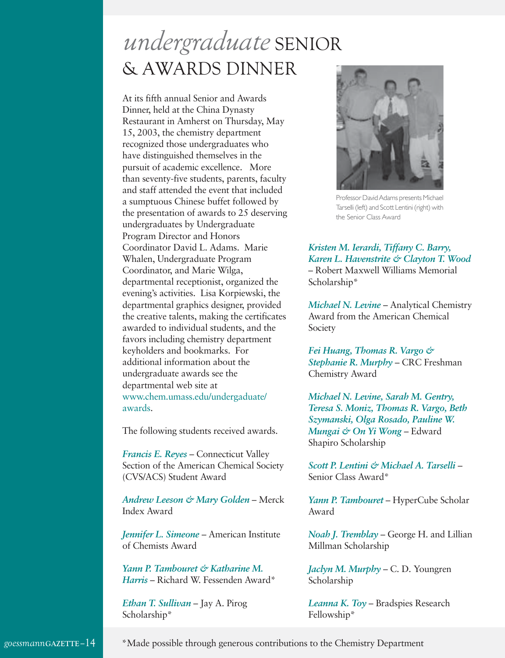# *undergraduate* SENIOR & AWARDS DINNER

At its fifth annual Senior and Awards Dinner, held at the China Dynasty Restaurant in Amherst on Thursday, May 15, 2003, the chemistry department recognized those undergraduates who have distinguished themselves in the pursuit of academic excellence. More than seventy-five students, parents, faculty and staff attended the event that included a sumptuous Chinese buffet followed by the presentation of awards to 25 deserving undergraduates by Undergraduate Program Director and Honors Coordinator David L. Adams. Marie Whalen, Undergraduate Program Coordinator, and Marie Wilga, departmental receptionist, organized the evening's activities. Lisa Korpiewski, the departmental graphics designer, provided the creative talents, making the certificates awarded to individual students, and the favors including chemistry department keyholders and bookmarks. For additional information about the undergraduate awards see the departmental web site at www.chem.umass.edu/undergaduate/ awards.

The following students received awards.

*Francis E. Reyes* – Connecticut Valley Section of the American Chemical Society (CVS/ACS) Student Award

*Andrew Leeson & Mary Golden* – Merck Index Award

*Jennifer L. Simeone* – American Institute of Chemists Award

*Yann P. Tambouret & Katharine M. Harris* – Richard W. Fessenden Award\*

*Ethan T. Sullivan* – Jay A. Pirog Scholarship\*



Professor David Adams presents Michael Tarselli (left) and Scott Lentini (right) with the Senior Class Award

*Kristen M. Ierardi, Tiffany C. Barry, Karen L. Havenstrite & Clayton T. Wood* – Robert Maxwell Williams Memorial Scholarship\*

*Michael N. Levine* – Analytical Chemistry Award from the American Chemical Society

*Fei Huang, Thomas R. Vargo & Stephanie R. Murphy* – CRC Freshman Chemistry Award

*Michael N. Levine, Sarah M. Gentry, Teresa S. Moniz, Thomas R. Vargo, Beth Szymanski, Olga Rosado, Pauline W. Mungai & On Yi Wong* – Edward Shapiro Scholarship

*Scott P. Lentini & Michael A. Tarselli* – Senior Class Award\*

*Yann P. Tambouret* – HyperCube Scholar Award

*Noah J. Tremblay* – George H. and Lillian Millman Scholarship

*Jaclyn M. Murphy* – C. D. Youngren Scholarship

*Leanna K. Toy* – Bradspies Research Fellowship\*

\*Made possible through generous contributions to the Chemistry Department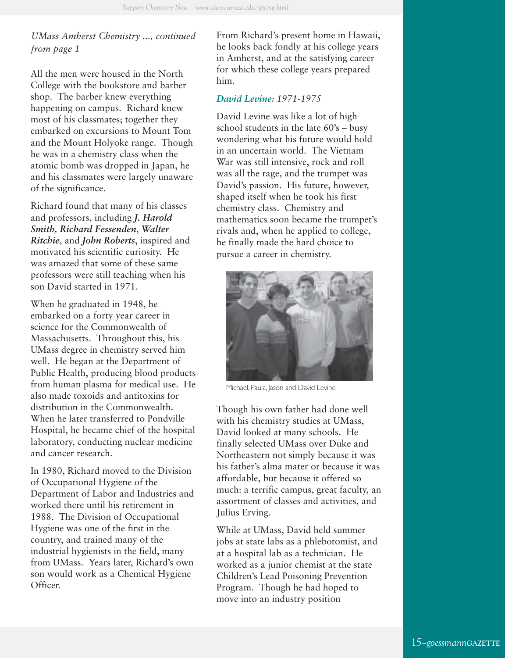## *UMass Amherst Chemistry ..., continued from page 1*

All the men were housed in the North College with the bookstore and barber shop. The barber knew everything happening on campus. Richard knew most of his classmates; together they embarked on excursions to Mount Tom and the Mount Holyoke range. Though he was in a chemistry class when the atomic bomb was dropped in Japan, he and his classmates were largely unaware of the significance.

Richard found that many of his classes and professors, including *J. Harold Smith, Richard Fessenden*, *Walter Ritchie*, and *John Roberts*, inspired and motivated his scientific curiosity. He was amazed that some of these same professors were still teaching when his son David started in 1971.

When he graduated in 1948, he embarked on a forty year career in science for the Commonwealth of Massachusetts. Throughout this, his UMass degree in chemistry served him well. He began at the Department of Public Health, producing blood products from human plasma for medical use. He also made toxoids and antitoxins for distribution in the Commonwealth. When he later transferred to Pondville Hospital, he became chief of the hospital laboratory, conducting nuclear medicine and cancer research.

In 1980, Richard moved to the Division of Occupational Hygiene of the Department of Labor and Industries and worked there until his retirement in 1988. The Division of Occupational Hygiene was one of the first in the country, and trained many of the industrial hygienists in the field, many from UMass. Years later, Richard's own son would work as a Chemical Hygiene Officer.

From Richard's present home in Hawaii, he looks back fondly at his college years in Amherst, and at the satisfying career for which these college years prepared him.

### *David Levine: 1971-1975*

David Levine was like a lot of high school students in the late 60's – busy wondering what his future would hold in an uncertain world. The Vietnam War was still intensive, rock and roll was all the rage, and the trumpet was David's passion. His future, however, shaped itself when he took his first chemistry class. Chemistry and mathematics soon became the trumpet's rivals and, when he applied to college, he finally made the hard choice to pursue a career in chemistry.



Michael, Paula, Jason and David Levine

Though his own father had done well with his chemistry studies at UMass, David looked at many schools. He finally selected UMass over Duke and Northeastern not simply because it was his father's alma mater or because it was affordable, but because it offered so much: a terrific campus, great faculty, an assortment of classes and activities, and Julius Erving.

While at UMass, David held summer jobs at state labs as a phlebotomist, and at a hospital lab as a technician. He worked as a junior chemist at the state Children's Lead Poisoning Prevention Program. Though he had hoped to move into an industry position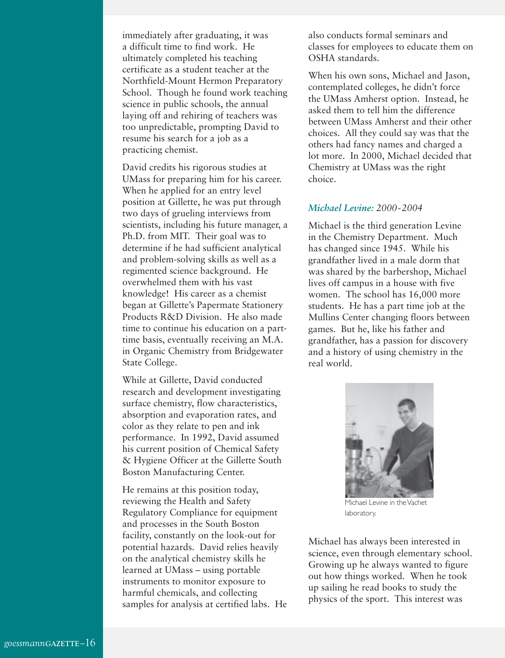immediately after graduating, it was a difficult time to find work. He ultimately completed his teaching certificate as a student teacher at the Northfield-Mount Hermon Preparatory School. Though he found work teaching science in public schools, the annual laying off and rehiring of teachers was too unpredictable, prompting David to resume his search for a job as a practicing chemist.

David credits his rigorous studies at UMass for preparing him for his career. When he applied for an entry level position at Gillette, he was put through two days of grueling interviews from scientists, including his future manager, a Ph.D. from MIT. Their goal was to determine if he had sufficient analytical and problem-solving skills as well as a regimented science background. He overwhelmed them with his vast knowledge! His career as a chemist began at Gillette's Papermate Stationery Products R&D Division. He also made time to continue his education on a parttime basis, eventually receiving an M.A. in Organic Chemistry from Bridgewater State College.

While at Gillette, David conducted research and development investigating surface chemistry, flow characteristics, absorption and evaporation rates, and color as they relate to pen and ink performance. In 1992, David assumed his current position of Chemical Safety & Hygiene Officer at the Gillette South Boston Manufacturing Center.

He remains at this position today, reviewing the Health and Safety Regulatory Compliance for equipment and processes in the South Boston facility, constantly on the look-out for potential hazards. David relies heavily on the analytical chemistry skills he learned at UMass – using portable instruments to monitor exposure to harmful chemicals, and collecting samples for analysis at certified labs. He also conducts formal seminars and classes for employees to educate them on OSHA standards.

When his own sons, Michael and Jason, contemplated colleges, he didn't force the UMass Amherst option. Instead, he asked them to tell him the difference between UMass Amherst and their other choices. All they could say was that the others had fancy names and charged a lot more. In 2000, Michael decided that Chemistry at UMass was the right choice.

#### *Michael Levine: 2000-2004*

Michael is the third generation Levine in the Chemistry Department. Much has changed since 1945. While his grandfather lived in a male dorm that was shared by the barbershop, Michael lives off campus in a house with five women. The school has 16,000 more students. He has a part time job at the Mullins Center changing floors between games. But he, like his father and grandfather, has a passion for discovery and a history of using chemistry in the real world.



Michael Levine in the Vachet laboratory.

Michael has always been interested in science, even through elementary school. Growing up he always wanted to figure out how things worked. When he took up sailing he read books to study the physics of the sport. This interest was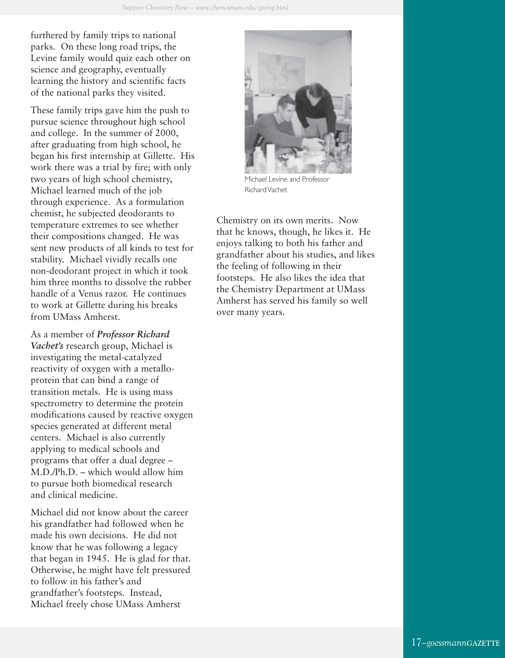furthered by family trips to national parks. On these long road trips, the Levine family would quiz each other on science and geography, eventually learning the history and scientific facts of the national parks they visited.

These family trips gave him the push to pursue science throughout high school and college. In the summer of 2000, after graduating from high school, he began his first internship at Gillette. His work there was a trial by fire; with only two years of high school chemistry, Michael learned much of the job through experience. As a formulation chemist, he subjected deodorants to temperature extremes to see whether their compositions changed. He was sent new products of all kinds to test for stability. Michael vividly recalls one non-deodorant project in which it took him three months to dissolve the rubber handle of a Venus razor. He continues to work at Gillette during his breaks from UMass Amherst.

As a member of *Professor Richard Vachet's* research group, Michael is investigating the metal-catalyzed reactivity of oxygen with a metalloprotein that can bind a range of transition metals. He is using mass spectrometry to determine the protein modifications caused by reactive oxygen species generated at different metal centers. Michael is also currently applying to medical schools and programs that offer a dual degree – M.D./Ph.D. – which would allow him to pursue both biomedical research and clinical medicine.

Michael did not know about the career his grandfather had followed when he made his own decisions. He did not know that he was following a legacy that began in 1945. He is glad for that. Otherwise, he might have felt pressured to follow in his father's and grandfather's footsteps. Instead, Michael freely chose UMass Amherst



Michael Levine and Professor Richard Vachet

Chemistry on its own merits. Now that he knows, though, he likes it. He enjoys talking to both his father and grandfather about his studies, and likes the feeling of following in their footsteps. He also likes the idea that the Chemistry Department at UMass Amherst has served his family so well over many years.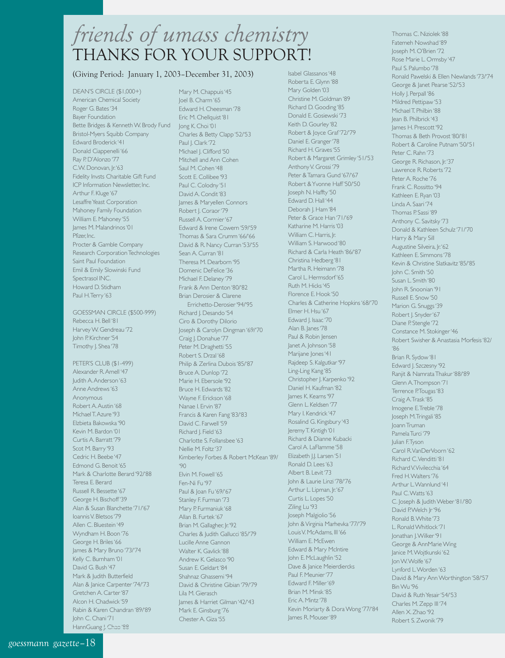# *friends of umass chemistry* THANKS FOR YOUR SUPPORT!

#### (Giving Period: January 1, 2003–December 31, 2003)

DEAN'S CIRCLE (\$1,000+) American Chemical Society Roger G. Bates '34 Bayer Foundation Bette Bridges & Kenneth W. Brody Fund Jong K. Choi '01 Bristol-Myers Squibb Company Edward Broderick '41 Donald Ciappenelli '66 Ray P. D'Alonzo '77 C.W. Donovan, Jr. '63 Fidelity Invsts Charitable Gift Fund ICP Information Newsletter, Inc. Arthur F. Kluge '67 Lesaffre Yeast Corporation Mahoney Family Foundation William E. Mahoney '55 James M. Malandrinos '01 Pfizer Inc. Procter & Gamble Company Research Corporation Technologies Saint Paul Foundation Emil & Emily Slowinski Fund Spectrasol INC. Howard D. Stidham Paul H. Terry '63

GOESSMAN CIRCLE (\$500-999) Rebecca H. Bell '81 Harvey W. Gendreau '72 John P. Kirchner '54 Timothy J. Shea '78

PETER'S CLUB (\$1-499) Alexander R. Amell '47 Judith A. Anderson '63 Anne Andrews '63 Anonymous Robert A. Austin '68 Michael T. Azure '93 Elzbieta Bakowska '90 Kevin M. Bardon '01 Curtis A. Barratt '79 Scot M. Barry '93 Cedric H. Beebe '47 Edmond G. Benoit '65 Mark & Charlotte Berard '92/'88 Teresa E. Berard Russell R. Bessette '67 George H. Bischoff '39 Alan & Susan Blanchette '71/'67 Ioannis V. Bletsos '79 Allen C. Bluestein '49 Wyndham H. Boon '76 George H. Briles '66 James & Mary Bruno '73/'74 Kelly C. Burnham '01 David G. Bush '47 Mark & Judith Butterfield Alan & Janice Carpenter '74/'73 Gretchen A. Carter '87 Alcon H. Chadwick '59 Rabin & Karen Chandran '89/'89 John C. Chani '71 HannGuang J. Chao '88

Mary M. Chappuis '45 Joel B. Charm '65 Edward H. Cheesman '78 Eric M. Chellquist '81 Charles & Betty Clapp '52/'53 Paul J. Clark '72 Michael J. Clifford '50 Mitchell and Ann Cohen Saul M. Cohen '48 Scott E. Collibee '93 Paul C. Colodny '51 David A. Condit '83 James & Maryellen Connors Robert J. Coraor '79 Russell A. Cormier '67 Edward & Irene Cowern '59/'59 Thomas & Sara Crumm '66/'66 David & R. Nancy Curran '53/'55 Sean A. Curran '81 Theresa M. Dearborn '95 Domenic DeFelice '36 Michael F. Delaney '79 Frank & Ann Denton '80/'82 Brian Derosier & Clarene Errichetto-Derosier '94/'95 Richard J. Desando '54 Ciro & Dorothy DiIorio Joseph & Carolyn Dingman '69/'70 Craig J. Donahue '77 Peter M. Draghetti '55 Robert S. Drzal '68 Philip & Zerlina Dubois '85/'87 Bruce A. Dunlop '72 Marie H. Ebersole '92 Bruce H. Edwards '82 Wayne F. Erickson '68 Nanae I. Ervin '87 Francis & Karen Fang '83/'83 David C. Farwell '59 Richard J. Field '63 Charlotte S. Follansbee '63 Nellie M. Foltz '37 Kimberley Forbes & Robert McKean '89/  $'90'$ Elvin M. Fowell '65 Fen-Ni Fu '97 Paul & Joan Fu '69/'67 Stanley F. Furman '73 Mary P. Furmaniuk '68 Allan B. Furtek '67 Brian M. Gallagher, Jr. '92 Charles & Judith Gallucci '85/'79 Lucille Anne Gannon Walter K. Gavlick '88 Andrew K. Gelasco '90 Susan E. Geldart '84 Shahnaz Ghassemi '94 David & Christine Gibian '79/'79 Lila M. Gierasch James & Harriet Gilman '42/'43 Mark E. Ginsburg '76 Chester A. Giza '55

Isabel Glassanos '48 Roberta E. Glynn '88 Mary Golden '03 Christine M. Goldman '89 Richard D. Gooding '85 Donald E. Gosiewski '73 Keith D. Gourley '82 Robert & Joyce Graf '72/'79 Daniel E. Granger '78 Richard H. Graves '55 Robert & Margaret Grimley '51/'53 Anthony V. Grossi '79 Peter & Tamara Gund '67/'67 Robert & Yvonne Haff '50/'50 Joseph N. Haffty '50 Edward D. Hall '44 Deborah I. Ham '84 Peter & Grace Han '71/'69 Katharine M. Harris '03 William C. Harris, Jr. William S. Harwood '80 Richard & Carla Heath '86/'87 Christina Hedberg '81 Martha R. Heimann '78 Carol L. Hermsdorf '65 Ruth M. Hicks '45 Florence E. Hook '50 Charles & Catherine Hopkins '68/'70 Elmer H. Hsu '67 Edward J. Isaac '70 Alan B. Janes '78 Paul & Robin Jensen Janet A. Johnson '58 Marijane Jones '41 Rajdeep S. Kalgutkar '97 Ling-Ling Kang '85 Christopher J. Karpenko '92 Daniel H. Kaufman '82 James K. Kearns '97 Glenn L. Keldsen '77 Mary I. Kendrick '47 Rosalind G. Kingsbury '43 Jeremy T. Kintigh '01 Richard & Dianne Kubacki Carol A. LaFlamme '58 Elizabeth J.J. Larsen '51 Ronald D. Lees '63 Albert B. Levit '73 John & Laurie Linzi '78/'76 Arthur L. Lipman, Jr. '67 Curtis L. Lopes '50 Ziling Lu '93 Joseph Malgiolio '56 John & Virginia Marhevka '77/'79 Louis V. McAdams, III '66 William E. McEwen Edward & Mary McIntire John E. McLaughlin '52 Dave & Janice Meierdiercks Paul F. Meunier '77 Edward F. Miller '69 Brian M. Minsk '85 Eric A. Mintz '78 Kevin Moriarty & Dora Wong '77/'84 James R. Mouser '89

Fatemeh Nowshad '89 Joseph M. O'Brien '72 Rose Marie L. Ormsby '47 Paul S. Palumbo '78 Ronald Pawelski & Ellen Newlands '73/'74 George & Janet Pearse '52/'53 Holly J. Perpall '86 Mildred Pettipaw '53 Michael T. Philbin '88 Jean B. Philbrick '43 James H. Prescott '92 Thomas & Beth Provost '80/'81 Robert & Caroline Putnam '50/'51 Peter C. Rahn '73 George R. Richason, Jr. '37 Lawrence R. Roberts '72 Peter A. Roche '76 Frank C. Rossitto '94 Kathleen E. Ryan '03 Linda A. Saari '74 Thomas P. Sassi '89 Anthony C. Savitsky '73 Donald & Kathleen Schulz '71/'70 Harry & Mary Sill Augustine Silveira, Jr. '62 Kathleen E. Simmons '78 Kevin & Christine Slatkavitz '85/'85 John C. Smith '50 Susan L. Smith '80 John R. Snoonian '91 Russell E. Snow '50 Marion G. Snuggs '39 Robert J. Snyder '67 Diane P. Stengle '72 Constance M. Stokinger '46 Robert Swisher & Anastasia Morfesis '82/ '86 Brian R. Sydow '81 Edward J. Szczesny '92 Ranjit & Namrata Thakur '88/'89 Glenn A. Thompson '71 Terrence P.Tougas '83 Craig A. Trask '85 Imogene E. Treble '78 Joseph M. Tringali '85 Joann Truman Pamela Turci '79 Julian F. Tyson Carol R. VanDerVoorn '62 Richard C. Venditti '81 Richard V. Vivilecchia '64 Fred H. Walters '76 Arthur L. Wannlund '41 Paul C. Watts '63 C. Joseph & Judith Weber '81/'80 David P. Welch Jr '96 Ronald B. White '73 L. Ronald Whitlock '71 Jonathan J. Wilker '91 George & AnnMarie Wing Janice M. Wojtkunski '62 Jon W. Wolfe '67 Lynford L. Worden '63 David & Mary Ann Worthington '58/'57 Bin Wu '96 David & Ruth Yesair '54/'53 Charles M. Zepp III '74 Allen X. Zhao '92 Robert S. Zwonik '79

Thomas C. Niziolek '88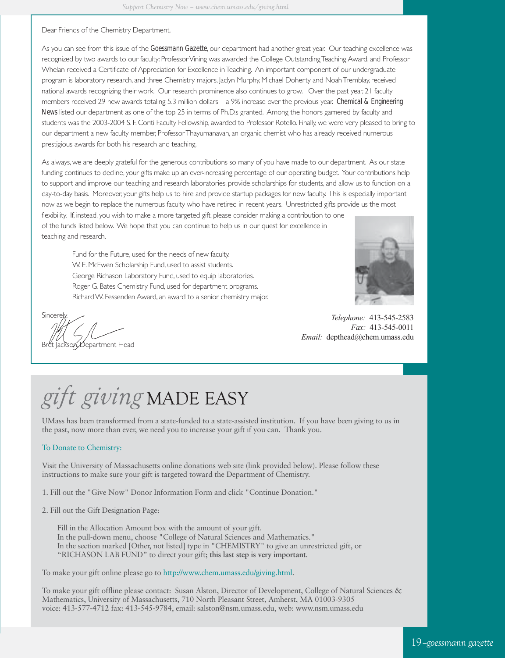#### Dear Friends of the Chemistry Department,

As you can see from this issue of the *Goessmann Gazette*, our department had another great year. Our teaching excellence was recognized by two awards to our faculty: Professor Vining was awarded the College Outstanding Teaching Award, and Professor Whelan received a Certificate of Appreciation for Excellence in Teaching. An important component of our undergraduate program is laboratory research, and three Chemistry majors, Jaclyn Murphy, Michael Doherty and Noah Tremblay, received national awards recognizing their work. Our research prominence also continues to grow. Over the past year, 21 faculty members received 29 new awards totaling 5.3 million dollars – a 9% increase over the previous year. *Chemical & Engineering News* listed our department as one of the top 25 in terms of Ph.D.s granted. Among the honors garnered by faculty and students was the 2003-2004 S. F. Conti Faculty Fellowship, awarded to Professor Rotello. Finally, we were very pleased to bring to our department a new faculty member, Professor Thayumanavan, an organic chemist who has already received numerous prestigious awards for both his research and teaching.

As always, we are deeply grateful for the generous contributions so many of you have made to our department. As our state funding continues to decline, your gifts make up an ever-increasing percentage of our operating budget. Your contributions help to support and improve our teaching and research laboratories, provide scholarships for students, and allow us to function on a day-to-day basis. Moreover, your gifts help us to hire and provide startup packages for new faculty. This is especially important now as we begin to replace the numerous faculty who have retired in recent years. Unrestricted gifts provide us the most flexibility. If, instead, you wish to make a more targeted gift, please consider making a contribution to one

of the funds listed below. We hope that you can continue to help us in our quest for excellence in teaching and research.

> Fund for the Future, used for the needs of new faculty. W. E. McEwen Scholarship Fund, used to assist students. George Richason Laboratory Fund, used to equip laboratories. Roger G. Bates Chemistry Fund, used for department programs. Richard W. Fessenden Award, an award to a senior chemistry major.



*Telephone:* 413-545-2583 *Fax:* 413-545-0011 *Email:* depthead@chem.umass.edu

Sincere Department Head

# *gift giving* MADE EASY

UMass has been transformed from a state-funded to a state-assisted institution. If you have been giving to us in the past, now more than ever, we need you to increase your gift if you can. Thank you.

#### To Donate to Chemistry:

Visit the University of Massachusetts online donations web site (link provided below). Please follow these instructions to make sure your gift is targeted toward the Department of Chemistry.

1. Fill out the "Give Now" Donor Information Form and click "Continue Donation."

2. Fill out the Gift Designation Page:

Fill in the Allocation Amount box with the amount of your gift. In the pull-down menu, choose "College of Natural Sciences and Mathematics." In the section marked [Other, not listed] type in "CHEMISTRY" to give an unrestricted gift, or "RICHASON LAB FUND" to direct your gift; **this last step is very important**.

To make your gift online please go to http://www.chem.umass.edu/giving.html.

To make your gift offline please contact: Susan Alston, Director of Development, College of Natural Sciences & Mathematics, University of Massachusetts, 710 North Pleasant Street, Amherst, MA 01003-9305 voice: 413-577-4712 fax: 413-545-9784, email: salston@nsm.umass.edu, web: www.nsm.umass.edu